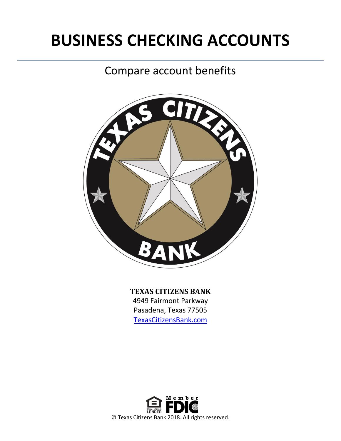# **BUSINESS CHECKING ACCOUNTS**

## Compare account benefits



### **TEXAS CITIZENS BANK**

4949 Fairmont Parkway Pasadena, Texas 77505 [TexasCitizensBank.com](http://www.texascitizensbank.com/)

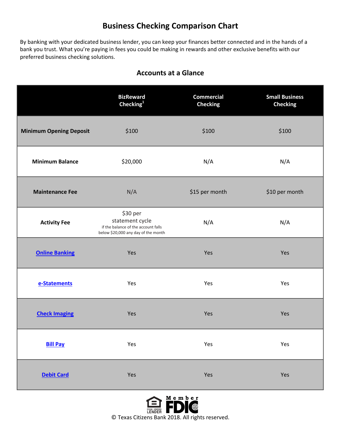## **Business Checking Comparison Chart**

By banking with your dedicated business lender, you can keep your finances better connected and in the hands of a bank you trust. What you're paying in fees you could be making in rewards and other exclusive benefits with our preferred business checking solutions.

|                                | <b>BizReward</b><br>Checking $^{1}$                                                                       | <b>Commercial</b><br><b>Checking</b> | <b>Small Business</b><br><b>Checking</b> |
|--------------------------------|-----------------------------------------------------------------------------------------------------------|--------------------------------------|------------------------------------------|
| <b>Minimum Opening Deposit</b> | \$100                                                                                                     | \$100                                | \$100                                    |
| <b>Minimum Balance</b>         | \$20,000                                                                                                  | N/A                                  | N/A                                      |
| <b>Maintenance Fee</b>         | N/A                                                                                                       | \$15 per month                       | \$10 per month                           |
| <b>Activity Fee</b>            | \$30 per<br>statement cycle<br>if the balance of the account falls<br>below \$20,000 any day of the month | N/A                                  | N/A                                      |
| <b>Online Banking</b>          | Yes                                                                                                       | Yes                                  | Yes                                      |
| e-Statements                   | Yes                                                                                                       | Yes                                  | Yes                                      |
| <b>Check Imaging</b>           | Yes                                                                                                       | Yes                                  | Yes                                      |
| <b>Bill Pay</b>                | Yes                                                                                                       | Yes                                  | Yes                                      |
| <b>Debit Card</b>              | Yes                                                                                                       | Yes                                  | Yes                                      |

#### **Accounts at a Glance**

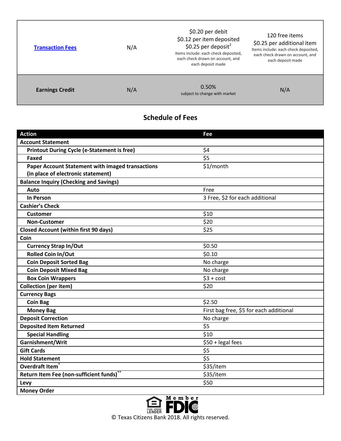| <b>Transaction Fees</b> | N/A | \$0.20 per debit<br>\$0.12 per item deposited<br>\$0.25 per deposit <sup>2</sup><br>Items include: each check deposited,<br>each check drawn on account, and<br>each deposit made | 120 free items<br>\$0.25 per additional item<br>Items include: each check deposited,<br>each check drawn on account, and<br>each deposit made |
|-------------------------|-----|-----------------------------------------------------------------------------------------------------------------------------------------------------------------------------------|-----------------------------------------------------------------------------------------------------------------------------------------------|
| <b>Earnings Credit</b>  | N/A | 0.50%<br>subject to change with market                                                                                                                                            | N/A                                                                                                                                           |

Г

## **Schedule of Fees**

| <b>Action</b>                                           | Fee                                     |  |
|---------------------------------------------------------|-----------------------------------------|--|
| <b>Account Statement</b>                                |                                         |  |
| <b>Printout During Cycle (e-Statement is free)</b>      | \$4                                     |  |
| Faxed                                                   | \$5                                     |  |
| <b>Paper Account Statement with imaged transactions</b> | \$1/month                               |  |
| (in place of electronic statement)                      |                                         |  |
| <b>Balance Inquiry (Checking and Savings)</b>           |                                         |  |
| Auto                                                    | Free                                    |  |
| <b>In Person</b>                                        | 3 Free, \$2 for each additional         |  |
| <b>Cashier's Check</b>                                  |                                         |  |
| <b>Customer</b>                                         | \$10                                    |  |
| <b>Non-Customer</b>                                     | \$20                                    |  |
| <b>Closed Account (within first 90 days)</b>            | \$25                                    |  |
| Coin                                                    |                                         |  |
| <b>Currency Strap In/Out</b>                            | \$0.50                                  |  |
| <b>Rolled Coin In/Out</b>                               | \$0.10                                  |  |
| <b>Coin Deposit Sorted Bag</b>                          | No charge                               |  |
| <b>Coin Deposit Mixed Bag</b>                           | No charge                               |  |
| <b>Box Coin Wrappers</b>                                | $$3 + cost$                             |  |
| <b>Collection (per item)</b>                            | \$20                                    |  |
| <b>Currency Bags</b>                                    |                                         |  |
| <b>Coin Bag</b>                                         | \$2.50                                  |  |
| <b>Money Bag</b>                                        | First bag free, \$5 for each additional |  |
| <b>Deposit Correction</b>                               | No charge                               |  |
| <b>Deposited Item Returned</b>                          | \$5                                     |  |
| <b>Special Handling</b>                                 | \$10                                    |  |
| Garnishment/Writ                                        | \$50 + legal fees                       |  |
| <b>Gift Cards</b>                                       | \$5                                     |  |
| <b>Hold Statement</b>                                   | \$5                                     |  |
| Overdraft Item                                          | \$35/item                               |  |
| Return Item Fee (non-sufficient funds)                  | \$35/item                               |  |
| Levy                                                    | \$50                                    |  |
| <b>Money Order</b>                                      |                                         |  |